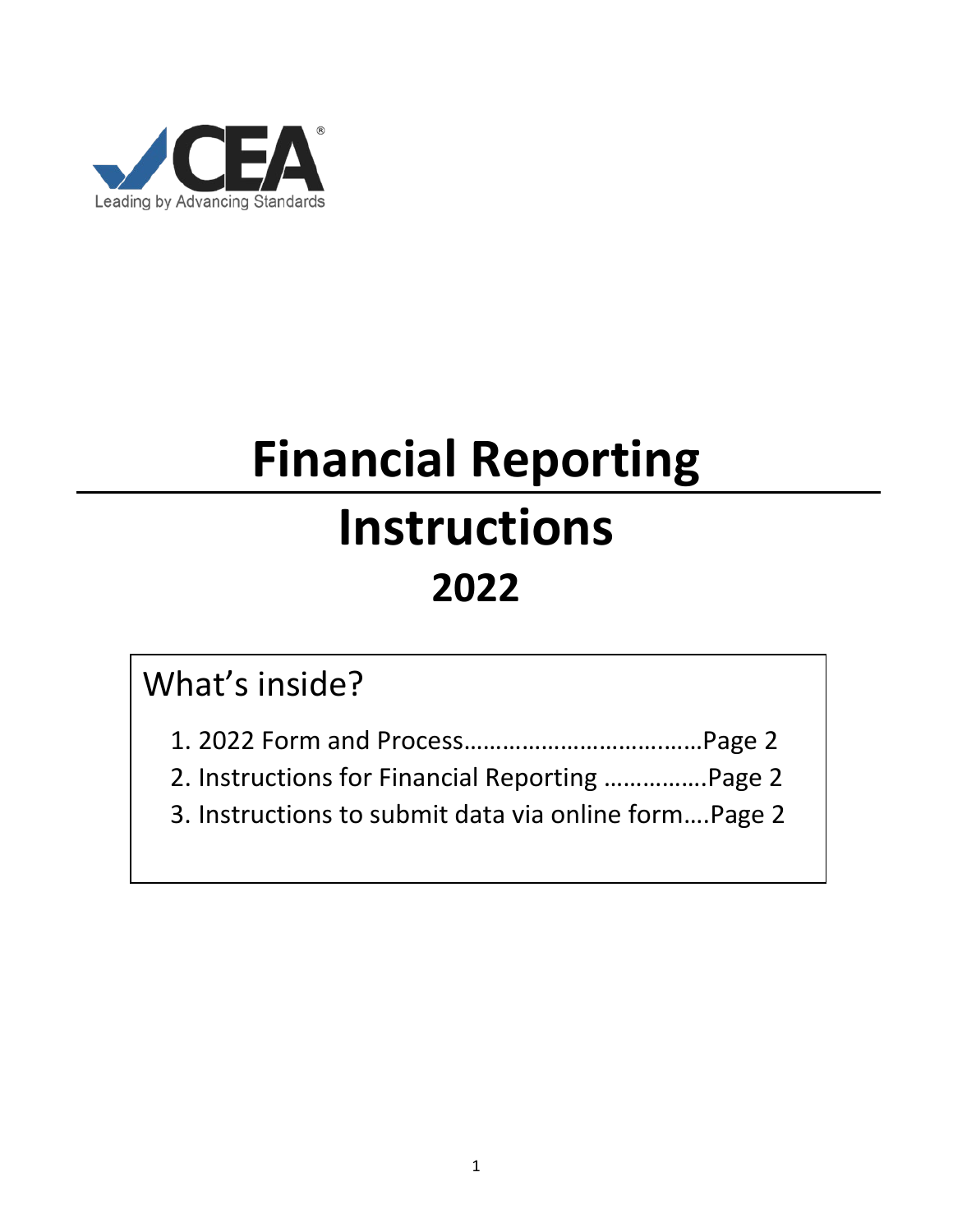

# **Financial Reporting Instructions 2022**

## What's inside?

1. 2022 Form and Process………………………….……Page 2

2. Instructions for Financial Reporting …………….Page 2

3. Instructions to submit data via online form….Page 2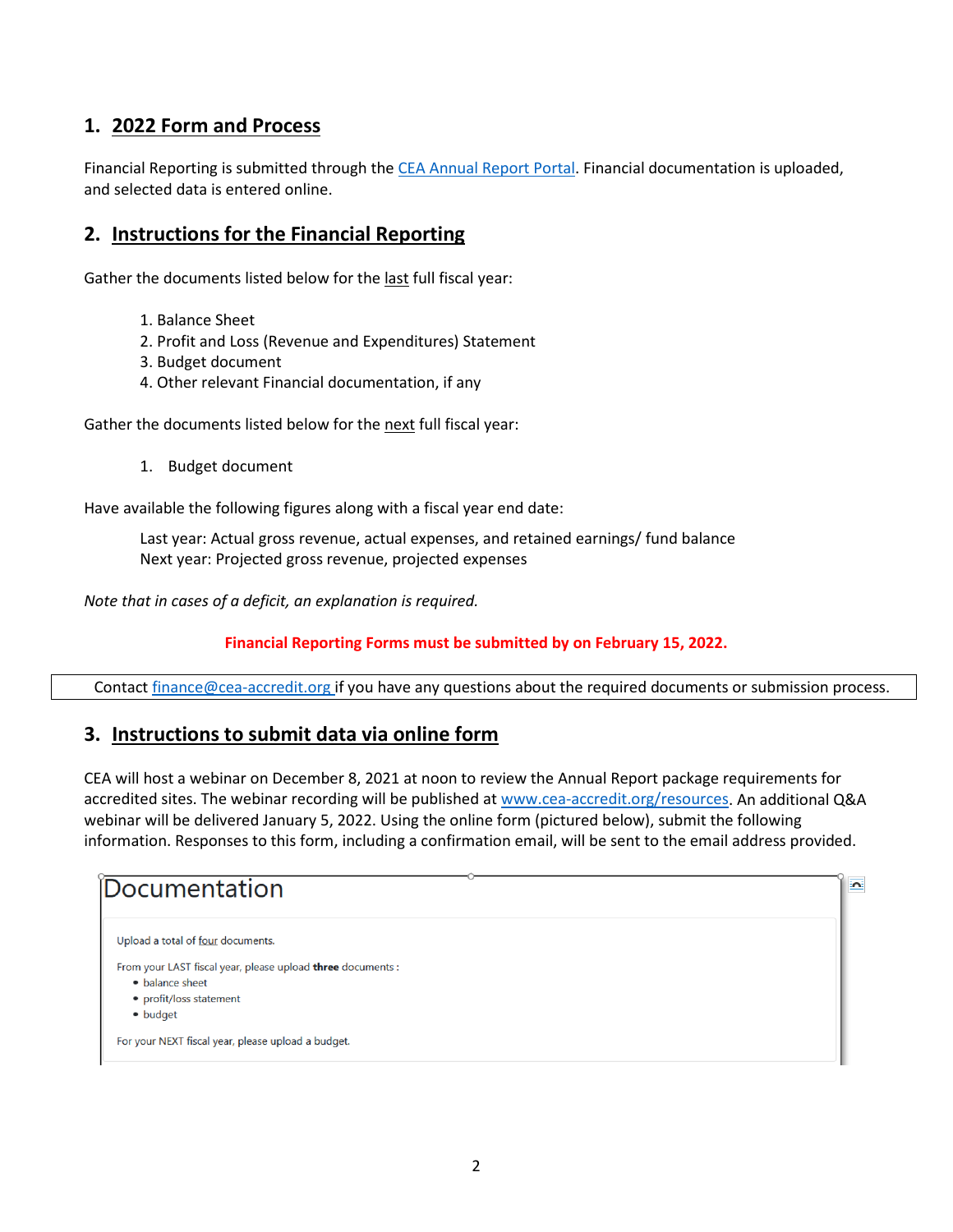#### **1. 2022 Form and Process**

Financial Reporting is submitted through th[e CEA Annual Report Portal.](https://carp.cea-accredit.org/) Financial documentation is uploaded, and selected data is entered online.

#### **2. Instructions for the Financial Reporting**

Gather the documents listed below for the last full fiscal year:

- 1. Balance Sheet
- 2. Profit and Loss (Revenue and Expenditures) Statement
- 3. Budget document
- 4. Other relevant Financial documentation, if any

Gather the documents listed below for the next full fiscal year:

1. Budget document

Have available the following figures along with a fiscal year end date:

Last year: Actual gross revenue, actual expenses, and retained earnings/ fund balance Next year: Projected gross revenue, projected expenses

*Note that in cases of a deficit, an explanation is required.* 

#### **Financial Reporting Forms must be submitted by on February 15, 2022.**

Contact [finance@cea-accredit.org](mailto:finance@cea-accredit.org) if you have any questions about the required documents or submission process.

#### **3. Instructions to submit data via online form**

CEA will host a webinar on December 8, 2021 at noon to review the Annual Report package requirements for accredited sites. The webinar recording will be published at [www.cea-accredit.org/resources.](http://www.cea-accredit.org/resources) An additional Q&A webinar will be delivered January 5, 2022. Using the online form (pictured below), submit the following information. Responses to this form, including a confirmation email, will be sent to the email address provided.

 $\overline{\mathbf{a}}$ 

### Documentation

```
Upload a total of four documents.
```
From your LAST fiscal year, please upload three documents :

- balance sheet
- profit/loss statement
- · budget

For your NEXT fiscal year, please upload a budget.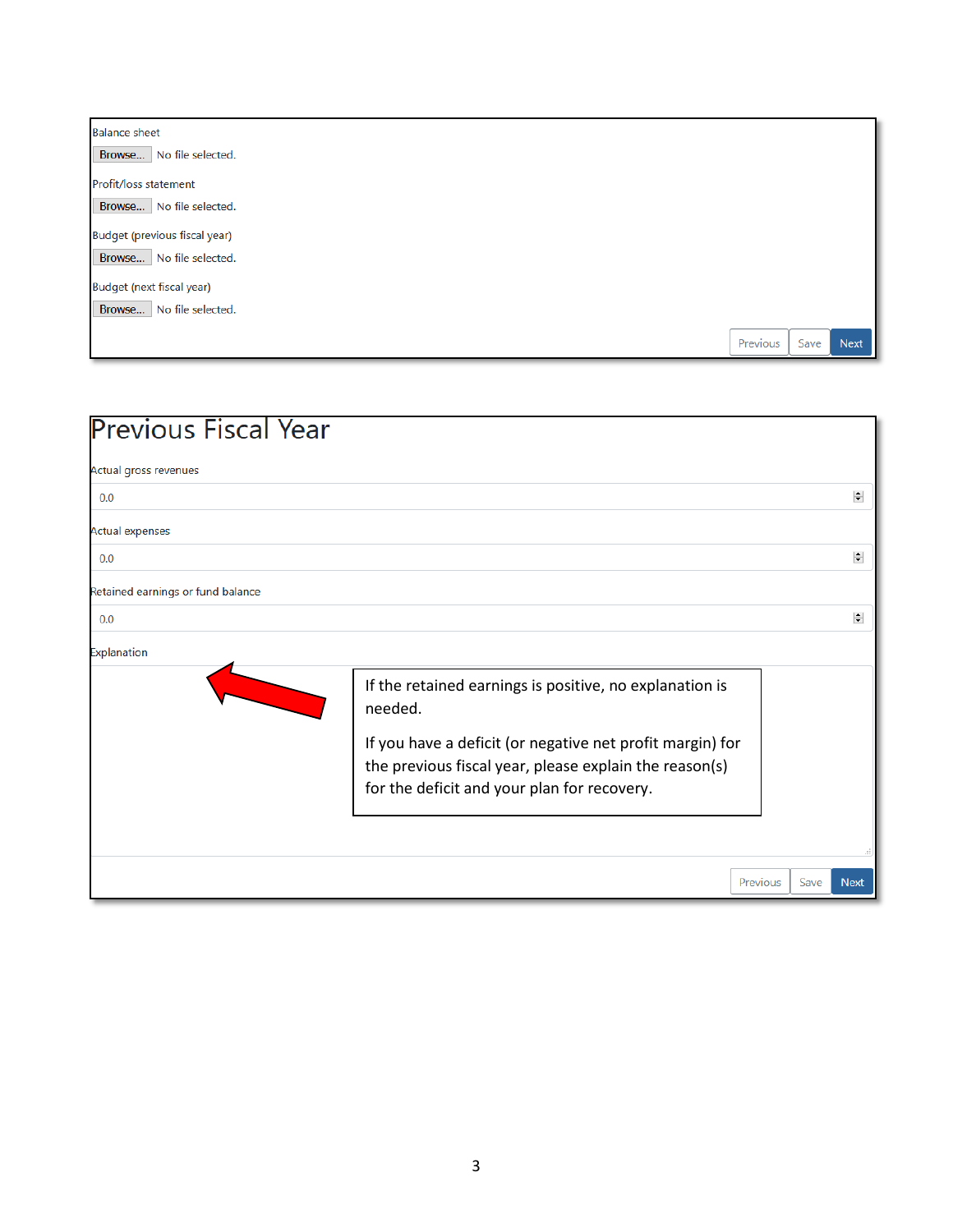| <b>Balance sheet</b>          |          |      |             |
|-------------------------------|----------|------|-------------|
| Browse   No file selected.    |          |      |             |
| Profit/loss statement         |          |      |             |
| Browse   No file selected.    |          |      |             |
| Budget (previous fiscal year) |          |      |             |
| Browse No file selected.      |          |      |             |
| Budget (next fiscal year)     |          |      |             |
| Browse No file selected.      |          |      |             |
|                               | Previous | Save | <b>Next</b> |

| <b>Previous Fiscal Year</b>       |                                                                                                                                                                                                                                          |          |      |                          |
|-----------------------------------|------------------------------------------------------------------------------------------------------------------------------------------------------------------------------------------------------------------------------------------|----------|------|--------------------------|
| Actual gross revenues             |                                                                                                                                                                                                                                          |          |      |                          |
| 0.0                               |                                                                                                                                                                                                                                          |          |      | $\left  \bullet \right $ |
| <b>Actual expenses</b>            |                                                                                                                                                                                                                                          |          |      |                          |
| 0.0                               |                                                                                                                                                                                                                                          |          |      | $\left  \bullet \right $ |
| Retained earnings or fund balance |                                                                                                                                                                                                                                          |          |      |                          |
| 0.0                               |                                                                                                                                                                                                                                          |          |      | $\left  \bullet \right $ |
| Explanation                       |                                                                                                                                                                                                                                          |          |      |                          |
|                                   | If the retained earnings is positive, no explanation is<br>needed.<br>If you have a deficit (or negative net profit margin) for<br>the previous fiscal year, please explain the reason(s)<br>for the deficit and your plan for recovery. |          |      |                          |
|                                   |                                                                                                                                                                                                                                          |          |      |                          |
|                                   |                                                                                                                                                                                                                                          | Previous | Save | <b>Next</b>              |